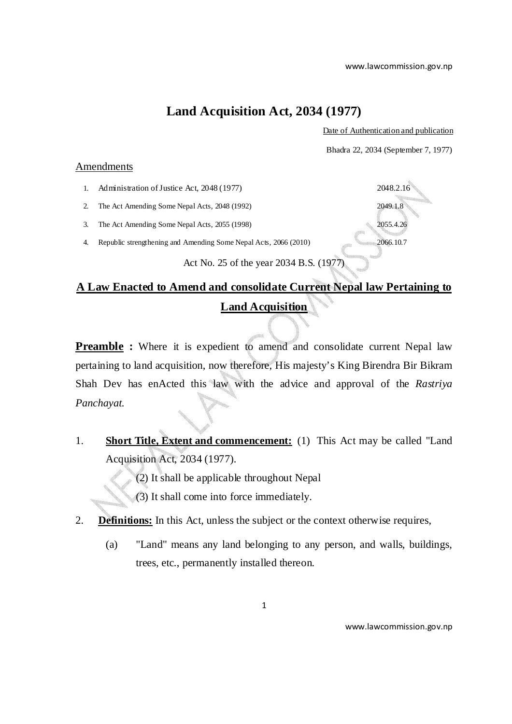### **Land Acquisition Act, 2034 (1977)**

Date of Authentication and publication

Bhadra 22, 2034 (September 7, 1977)

#### Amendments

- 1. Administration of Justice Act, 2048 (1977) 2048.2.16
- 2. The Act Amending Some Nepal Acts, 2048 (1992) 2049.1.8
- 3. The Act Amending Some Nepal Acts, 2055 (1998) 2055.4.26

4. Republic strengthening and Amending Some Nepal Acts, 2066 (2010) 2066.10.7

Act No. 25 of the year 2034 B.S. (1977)

## **A Law Enacted to Amend and consolidate Current Nepal law Pertaining to Land Acquisition**

**Preamble :** Where it is expedient to amend and consolidate current Nepal law pertaining to land acquisition, now therefore, His majesty's King Birendra Bir Bikram Shah Dev has enActed this law with the advice and approval of the *Rastriya Panchayat.* 

- 1. **Short Title, Extent and commencement:** (1) This Act may be called "Land Acquisition Act, 2034 (1977).
	- (2) It shall be applicable throughout Nepal
	- (3) It shall come into force immediately.
- 2. **Definitions:** In this Act, unless the subject or the context otherwise requires,
	- (a) "Land" means any land belonging to any person, and walls, buildings, trees, etc., permanently installed thereon.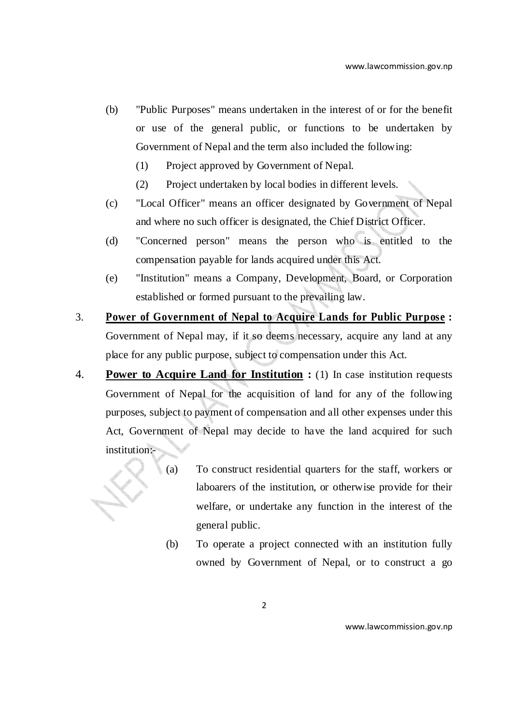- (b) "Public Purposes" means undertaken in the interest of or for the benefit or use of the general public, or functions to be undertaken by Government of Nepal and the term also included the following:
	- (1) Project approved by Government of Nepal.
	- (2) Project undertaken by local bodies in different levels.
- (c) "Local Officer" means an officer designated by Government of Nepal and where no such officer is designated, the Chief District Officer.
- (d) "Concerned person" means the person who is entitled to the compensation payable for lands acquired under this Act.
- (e) "Institution" means a Company, Development, Board, or Corporation established or formed pursuant to the prevailing law.
- 3. **Power of Government of Nepal to Acquire Lands for Public Purpose :**  Government of Nepal may, if it so deems necessary, acquire any land at any place for any public purpose, subject to compensation under this Act.
- 4. **Power to Acquire Land for Institution :** (1) In case institution requests Government of Nepal for the acquisition of land for any of the following purposes, subject to payment of compensation and all other expenses under this Act, Government of Nepal may decide to have the land acquired for such institution:-



(b) To operate a project connected with an institution fully owned by Government of Nepal, or to construct a go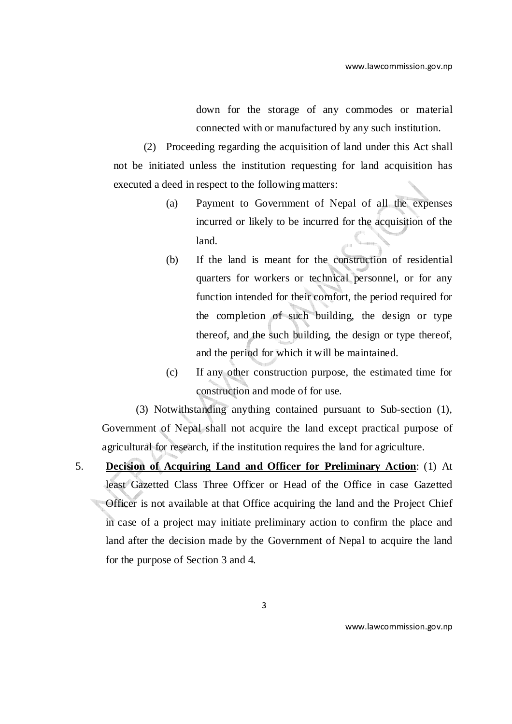down for the storage of any commodes or material connected with or manufactured by any such institution.

(2) Proceeding regarding the acquisition of land under this Act shall not be initiated unless the institution requesting for land acquisition has executed a deed in respect to the following matters:

- (a) Payment to Government of Nepal of all the expenses incurred or likely to be incurred for the acquisition of the land.
- (b) If the land is meant for the construction of residential quarters for workers or technical personnel, or for any function intended for their comfort, the period required for the completion of such building, the design or type thereof, and the such building, the design or type thereof, and the period for which it will be maintained.
- (c) If any other construction purpose, the estimated time for construction and mode of for use.

(3) Notwithstanding anything contained pursuant to Sub-section (1), Government of Nepal shall not acquire the land except practical purpose of agricultural for research, if the institution requires the land for agriculture.

5. **Decision of Acquiring Land and Officer for Preliminary Action**: (1) At least Gazetted Class Three Officer or Head of the Office in case Gazetted Officer is not available at that Office acquiring the land and the Project Chief in case of a project may initiate preliminary action to confirm the place and land after the decision made by the Government of Nepal to acquire the land for the purpose of Section 3 and 4.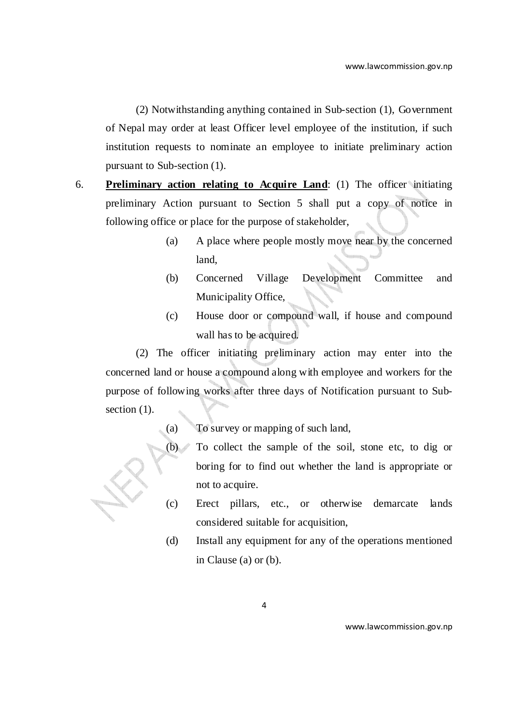(2) Notwithstanding anything contained in Sub-section (1), Government of Nepal may order at least Officer level employee of the institution, if such institution requests to nominate an employee to initiate preliminary action pursuant to Sub-section (1).

- 6. **Preliminary action relating to Acquire Land**: (1) The officer initiating preliminary Action pursuant to Section 5 shall put a copy of notice in following office or place for the purpose of stakeholder,
	- (a) A place where people mostly move near by the concerned land,
	- (b) Concerned Village Development Committee and Municipality Office,
	- (c) House door or compound wall, if house and compound wall has to be acquired.

(2) The officer initiating preliminary action may enter into the concerned land or house a compound along with employee and workers for the purpose of following works after three days of Notification pursuant to Subsection  $(1)$ .

- (a) To survey or mapping of such land,
	- (b) To collect the sample of the soil, stone etc, to dig or boring for to find out whether the land is appropriate or not to acquire.
	- (c) Erect pillars, etc., or otherwise demarcate lands considered suitable for acquisition,
	- (d) Install any equipment for any of the operations mentioned in Clause (a) or (b).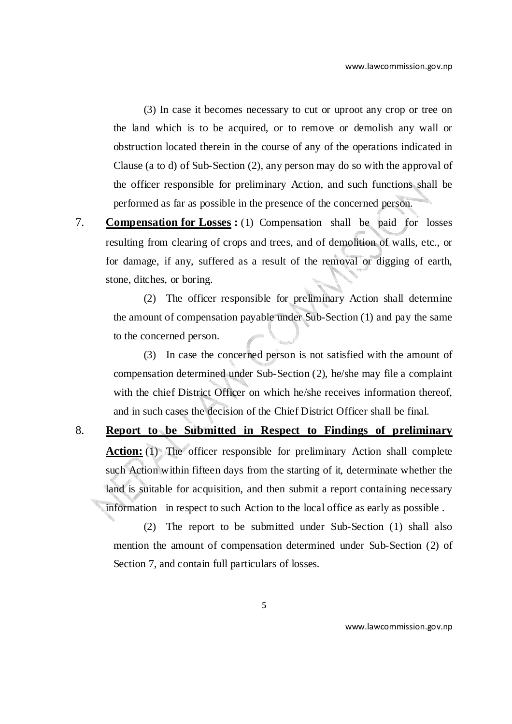(3) In case it becomes necessary to cut or uproot any crop or tree on the land which is to be acquired, or to remove or demolish any wall or obstruction located therein in the course of any of the operations indicated in Clause (a to d) of Sub-Section (2), any person may do so with the approval of the officer responsible for preliminary Action, and such functions shall be performed as far as possible in the presence of the concerned person.

7. **Compensation for Losses :** (1) Compensation shall be paid for losses resulting from clearing of crops and trees, and of demolition of walls, etc., or for damage, if any, suffered as a result of the removal or digging of earth, stone, ditches, or boring.

(2) The officer responsible for preliminary Action shall determine the amount of compensation payable under Sub-Section (1) and pay the same to the concerned person.

(3) In case the concerned person is not satisfied with the amount of compensation determined under Sub-Section (2), he/she may file a complaint with the chief District Officer on which he/she receives information thereof, and in such cases the decision of the Chief District Officer shall be final.

8. **Report to be Submitted in Respect to Findings of preliminary Action:** (1) The officer responsible for preliminary Action shall complete such Action within fifteen days from the starting of it, determinate whether the land is suitable for acquisition, and then submit a report containing necessary information in respect to such Action to the local office as early as possible .

(2) The report to be submitted under Sub-Section (1) shall also mention the amount of compensation determined under Sub-Section (2) of Section 7, and contain full particulars of losses.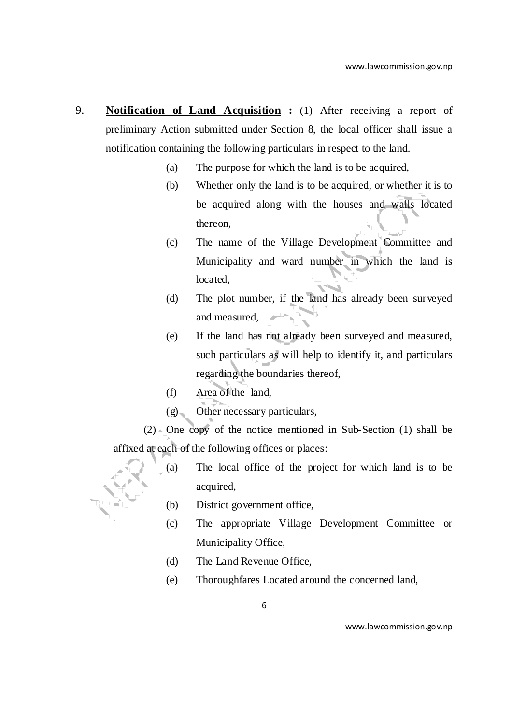- 9. **Notification of Land Acquisition :** (1) After receiving a report of preliminary Action submitted under Section 8, the local officer shall issue a notification containing the following particulars in respect to the land.
	- (a) The purpose for which the land is to be acquired,
	- (b) Whether only the land is to be acquired, or whether it is to be acquired along with the houses and walls located thereon,
	- (c) The name of the Village Development Committee and Municipality and ward number in which the land is located,
	- (d) The plot number, if the land has already been surveyed and measured,
	- (e) If the land has not already been surveyed and measured, such particulars as will help to identify it, and particulars regarding the boundaries thereof,
	- (f) Area of the land,
	- (g) Other necessary particulars,

(2) One copy of the notice mentioned in Sub-Section (1) shall be affixed at each of the following offices or places:

- (a) The local office of the project for which land is to be acquired,
- (b) District government office,
- (c) The appropriate Village Development Committee or Municipality Office,
- (d) The Land Revenue Office,
- (e) Thoroughfares Located around the concerned land,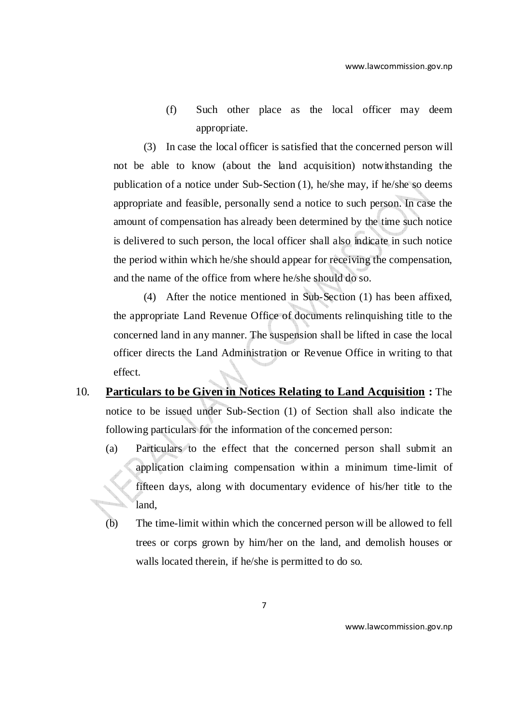(f) Such other place as the local officer may deem appropriate.

(3) In case the local officer is satisfied that the concerned person will not be able to know (about the land acquisition) notwithstanding the publication of a notice under Sub-Section (1), he/she may, if he/she so deems appropriate and feasible, personally send a notice to such person. In case the amount of compensation has already been determined by the time such notice is delivered to such person, the local officer shall also indicate in such notice the period within which he/she should appear for receiving the compensation, and the name of the office from where he/she should do so.

(4) After the notice mentioned in Sub-Section (1) has been affixed, the appropriate Land Revenue Office of documents relinquishing title to the concerned land in any manner. The suspension shall be lifted in case the local officer directs the Land Administration or Revenue Office in writing to that effect.

- 10. **Particulars to be Given in Notices Relating to Land Acquisition :** The notice to be issued under Sub-Section (1) of Section shall also indicate the following particulars for the information of the concerned person:
	- (a) Particulars to the effect that the concerned person shall submit an application claiming compensation within a minimum time-limit of fifteen days, along with documentary evidence of his/her title to the J. land,
	- (b) The time-limit within which the concerned person will be allowed to fell trees or corps grown by him/her on the land, and demolish houses or walls located therein, if he/she is permitted to do so.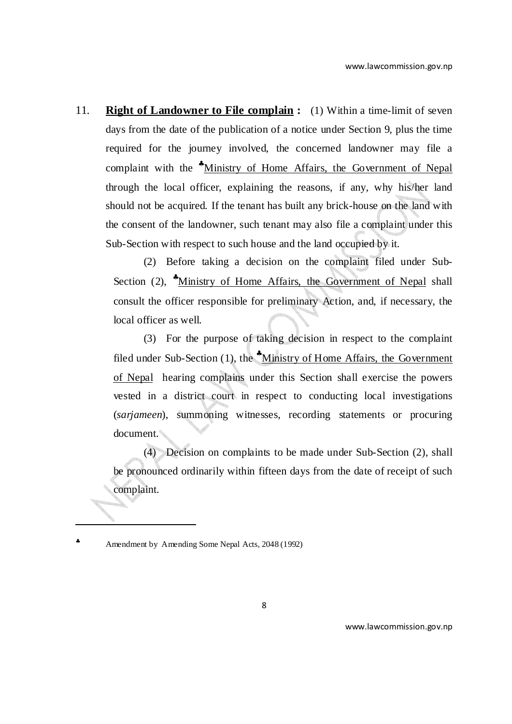11. **Right of Landowner to File complain :** (1) Within a time-limit of seven days from the date of the publication of a notice under Section 9, plus the time required for the journey involved, the concerned landowner may file a complaint with the <sup>\*</sup>Ministry of Home Affairs, the Government of Nepal through the local officer, explaining the reasons, if any, why his/her land should not be acquired. If the tenant has built any brick-house on the land with the consent of the landowner, such tenant may also file a complaint under this Sub-Section with respect to such house and the land occupied by it.

(2) Before taking a decision on the complaint filed under Sub-Section (2), <sup>\*</sup>Ministry of Home Affairs, the Government of Nepal shall consult the officer responsible for preliminary Action, and, if necessary, the local officer as well.

(3) For the purpose of taking decision in respect to the complaint filed under Sub-Section  $(1)$ , the  $^*$ Ministry of Home Affairs, the Government of Nepal hearing complains under this Section shall exercise the powers vested in a district court in respect to conducting local investigations (*sarjameen*), summoning witnesses, recording statements or procuring document.

(4) Decision on complaints to be made under Sub-Section (2), shall be pronounced ordinarily within fifteen days from the date of receipt of such complaint.

♣ Amendment by Amending Some Nepal Acts, 2048 (1992)

l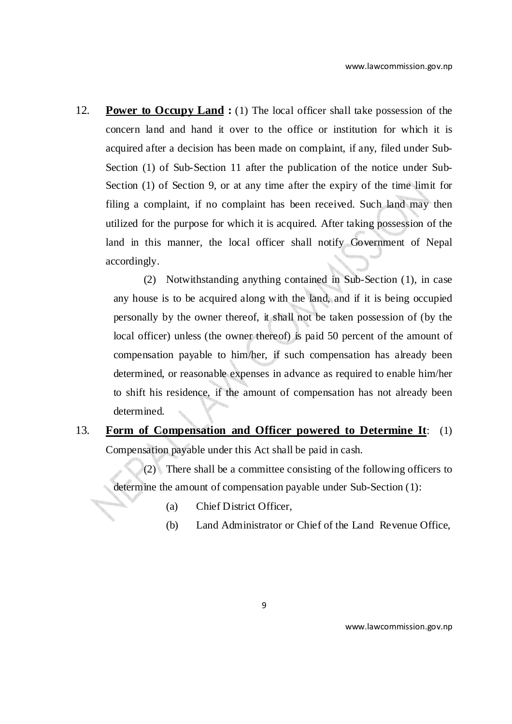12. **Power to Occupy Land :** (1) The local officer shall take possession of the concern land and hand it over to the office or institution for which it is acquired after a decision has been made on complaint, if any, filed under Sub-Section (1) of Sub-Section 11 after the publication of the notice under Sub-Section (1) of Section 9, or at any time after the expiry of the time limit for filing a complaint, if no complaint has been received. Such land may then utilized for the purpose for which it is acquired. After taking possession of the land in this manner, the local officer shall notify Government of Nepal accordingly.

(2) Notwithstanding anything contained in Sub-Section (1), in case any house is to be acquired along with the land, and if it is being occupied personally by the owner thereof, it shall not be taken possession of (by the local officer) unless (the owner thereof) is paid 50 percent of the amount of compensation payable to him/her, if such compensation has already been determined, or reasonable expenses in advance as required to enable him/her to shift his residence, if the amount of compensation has not already been determined.

### 13. **Form of Compensation and Officer powered to Determine It**: (1) Compensation payable under this Act shall be paid in cash.

(2) There shall be a committee consisting of the following officers to determine the amount of compensation payable under Sub-Section (1):

- (a) Chief District Officer,
- (b) Land Administrator or Chief of the Land Revenue Office,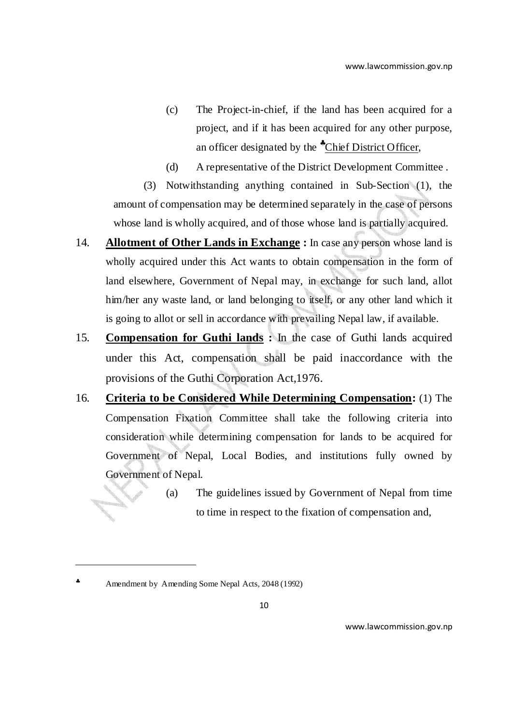- (c) The Project-in-chief, if the land has been acquired for a project, and if it has been acquired for any other purpose, an officer designated by the \*Chief District Officer,
- (d) A representative of the District Development Committee .

(3) Notwithstanding anything contained in Sub-Section (1), the amount of compensation may be determined separately in the case of persons whose land is wholly acquired, and of those whose land is partially acquired.

- 14. **Allotment of Other Lands in Exchange :** In case any person whose land is wholly acquired under this Act wants to obtain compensation in the form of land elsewhere, Government of Nepal may, in exchange for such land, allot him/her any waste land, or land belonging to itself, or any other land which it is going to allot or sell in accordance with prevailing Nepal law, if available.
- 15. **Compensation for Guthi lands :** In the case of Guthi lands acquired under this Act, compensation shall be paid inaccordance with the provisions of the Guthi Corporation Act,1976.
- 16. **Criteria to be Considered While Determining Compensation:** (1) The Compensation Fixation Committee shall take the following criteria into consideration while determining compensation for lands to be acquired for Government of Nepal, Local Bodies, and institutions fully owned by Government of Nepal.
	- (a) The guidelines issued by Government of Nepal from time to time in respect to the fixation of compensation and,

l

<sup>♣</sup> Amendment by Amending Some Nepal Acts, 2048 (1992)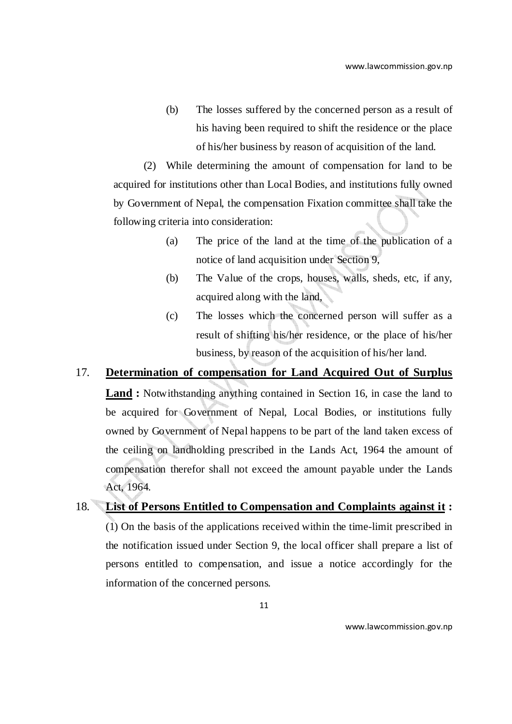(b) The losses suffered by the concerned person as a result of his having been required to shift the residence or the place of his/her business by reason of acquisition of the land.

(2) While determining the amount of compensation for land to be acquired for institutions other than Local Bodies, and institutions fully owned by Government of Nepal, the compensation Fixation committee shall take the following criteria into consideration:

- (a) The price of the land at the time of the publication of a notice of land acquisition under Section 9,
- (b) The Value of the crops, houses, walls, sheds, etc, if any, acquired along with the land,
- (c) The losses which the concerned person will suffer as a result of shifting his/her residence, or the place of his/her business, by reason of the acquisition of his/her land.

### 17. **Determination of compensation for Land Acquired Out of Surplus**

**Land :** Notwithstanding anything contained in Section 16, in case the land to be acquired for Government of Nepal, Local Bodies, or institutions fully owned by Government of Nepal happens to be part of the land taken excess of the ceiling on landholding prescribed in the Lands Act, 1964 the amount of compensation therefor shall not exceed the amount payable under the Lands Act, 1964.

18. **List of Persons Entitled to Compensation and Complaints against it :** (1) On the basis of the applications received within the time-limit prescribed in the notification issued under Section 9, the local officer shall prepare a list of persons entitled to compensation, and issue a notice accordingly for the information of the concerned persons.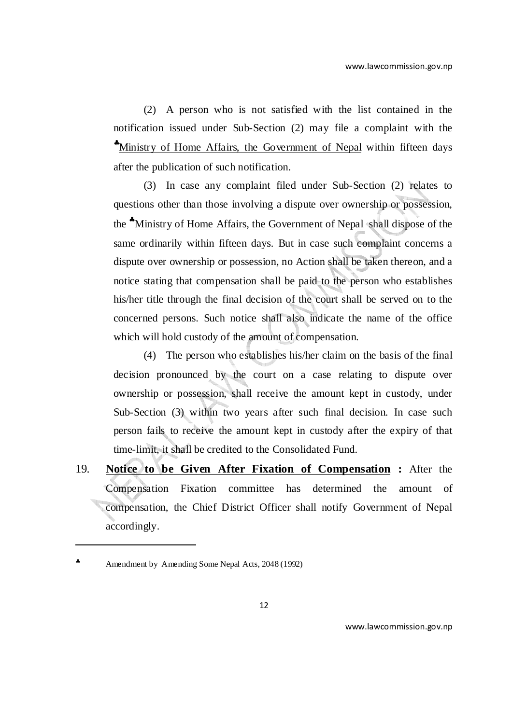(2) A person who is not satisfied with the list contained in the notification issued under Sub-Section (2) may file a complaint with the ♣Ministry of Home Affairs, the Government of Nepal within fifteen days after the publication of such notification.

(3) In case any complaint filed under Sub-Section (2) relates to questions other than those involving a dispute over ownership or possession, the ♣Ministry of Home Affairs, the Government of Nepal shall dispose of the same ordinarily within fifteen days. But in case such complaint concerns a dispute over ownership or possession, no Action shall be taken thereon, and a notice stating that compensation shall be paid to the person who establishes his/her title through the final decision of the court shall be served on to the concerned persons. Such notice shall also indicate the name of the office which will hold custody of the amount of compensation.

(4) The person who establishes his/her claim on the basis of the final decision pronounced by the court on a case relating to dispute over ownership or possession, shall receive the amount kept in custody, under Sub-Section (3) within two years after such final decision. In case such person fails to receive the amount kept in custody after the expiry of that time-limit, it shall be credited to the Consolidated Fund.

19. **Notice to be Given After Fixation of Compensation :** After the Compensation Fixation committee has determined the amount of compensation, the Chief District Officer shall notify Government of Nepal accordingly.

 $\overline{a}$ 

<sup>♣</sup> Amendment by Amending Some Nepal Acts, 2048 (1992)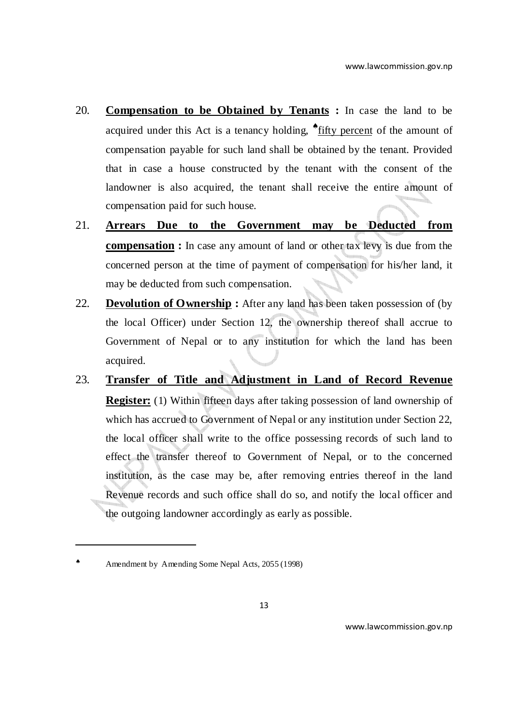- 20. **Compensation to be Obtained by Tenants :** In case the land to be acquired under this Act is a tenancy holding, \*fifty percent of the amount of compensation payable for such land shall be obtained by the tenant. Provided that in case a house constructed by the tenant with the consent of the landowner is also acquired, the tenant shall receive the entire amount of compensation paid for such house.
- 21. **Arrears Due to the Government may be Deducted from compensation :** In case any amount of land or other tax levy is due from the concerned person at the time of payment of compensation for his/her land, it may be deducted from such compensation.
- 22. **Devolution of Ownership :** After any land has been taken possession of (by the local Officer) under Section 12, the ownership thereof shall accrue to Government of Nepal or to any institution for which the land has been acquired.
- 23. **Transfer of Title and Adjustment in Land of Record Revenue Register:** (1) Within fifteen days after taking possession of land ownership of which has accrued to Government of Nepal or any institution under Section 22, the local officer shall write to the office possessing records of such land to effect the transfer thereof to Government of Nepal, or to the concerned institution, as the case may be, after removing entries thereof in the land Revenue records and such office shall do so, and notify the local officer and the outgoing landowner accordingly as early as possible.

 $\overline{a}$ 

Amendment by Amending Some Nepal Acts, 2055 (1998)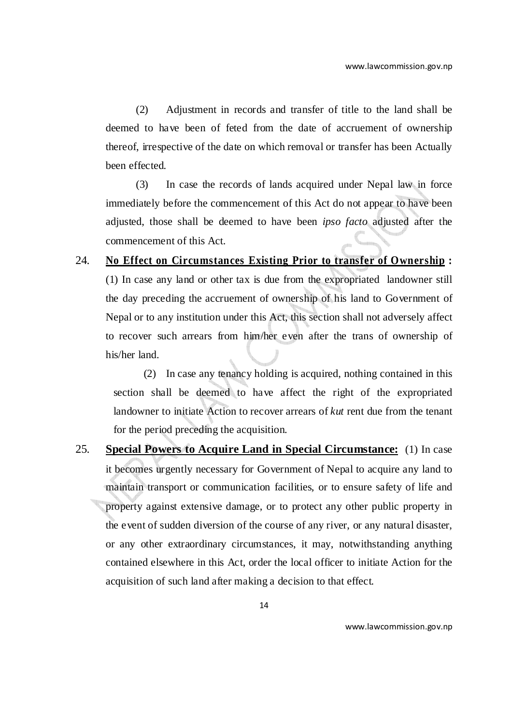(2) Adjustment in records and transfer of title to the land shall be deemed to have been of feted from the date of accruement of ownership thereof, irrespective of the date on which removal or transfer has been Actually been effected.

(3) In case the records of lands acquired under Nepal law in force immediately before the commencement of this Act do not appear to have been adjusted, those shall be deemed to have been *ipso facto* adjusted after the commencement of this Act.

# 24. **No Effect on Circumstances Existing Prior to transfer of Ownership :** (1) In case any land or other tax is due from the expropriated landowner still the day preceding the accruement of ownership of his land to Government of Nepal or to any institution under this Act, this section shall not adversely affect to recover such arrears from him/her even after the trans of ownership of his/her land.

(2) In case any tenancy holding is acquired, nothing contained in this section shall be deemed to have affect the right of the expropriated landowner to initiate Action to recover arrears of *kut* rent due from the tenant for the period preceding the acquisition.

25. **Special Powers to Acquire Land in Special Circumstance:** (1) In case it becomes urgently necessary for Government of Nepal to acquire any land to maintain transport or communication facilities, or to ensure safety of life and property against extensive damage, or to protect any other public property in the event of sudden diversion of the course of any river, or any natural disaster, or any other extraordinary circumstances, it may, notwithstanding anything contained elsewhere in this Act, order the local officer to initiate Action for the acquisition of such land after making a decision to that effect.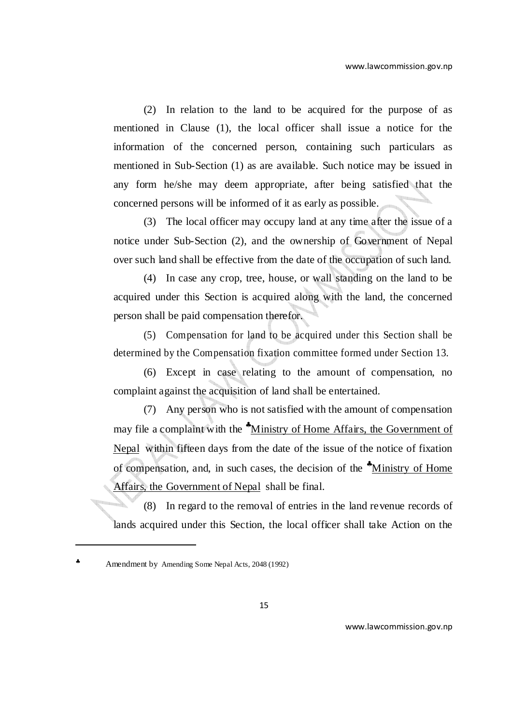(2) In relation to the land to be acquired for the purpose of as mentioned in Clause (1), the local officer shall issue a notice for the information of the concerned person, containing such particulars as mentioned in Sub-Section (1) as are available. Such notice may be issued in any form he/she may deem appropriate, after being satisfied that the concerned persons will be informed of it as early as possible.

(3) The local officer may occupy land at any time after the issue of a notice under Sub-Section (2), and the ownership of Government of Nepal over such land shall be effective from the date of the occupation of such land.

(4) In case any crop, tree, house, or wall standing on the land to be acquired under this Section is acquired along with the land, the concerned person shall be paid compensation therefor.

(5) Compensation for land to be acquired under this Section shall be determined by the Compensation fixation committee formed under Section 13.

(6) Except in case relating to the amount of compensation, no complaint against the acquisition of land shall be entertained.

(7) Any person who is not satisfied with the amount of compensation may file a complaint with the \*Ministry of Home Affairs, the Government of Nepal within fifteen days from the date of the issue of the notice of fixation of compensation, and, in such cases, the decision of the ♣Ministry of Home Affairs, the Government of Nepal shall be final.

(8) In regard to the removal of entries in the land revenue records of lands acquired under this Section, the local officer shall take Action on the

 $\overline{a}$ 

<sup>♣</sup> Amendment by Amending Some Nepal Acts, 2048 (1992)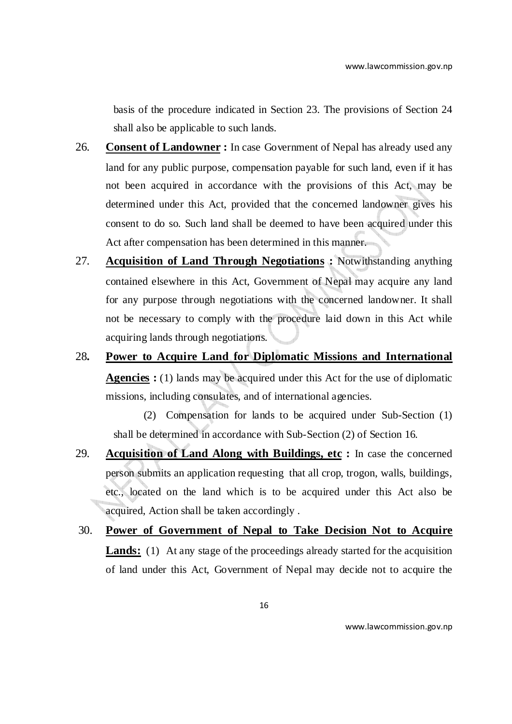basis of the procedure indicated in Section 23. The provisions of Section 24 shall also be applicable to such lands.

- 26. **Consent of Landowner :** In case Government of Nepal has already used any land for any public purpose, compensation payable for such land, even if it has not been acquired in accordance with the provisions of this Act, may be determined under this Act, provided that the concerned landowner gives his consent to do so. Such land shall be deemed to have been acquired under this Act after compensation has been determined in this manner.
- 27. **Acquisition of Land Through Negotiations :** Notwithstanding anything contained elsewhere in this Act, Government of Nepal may acquire any land for any purpose through negotiations with the concerned landowner. It shall not be necessary to comply with the procedure laid down in this Act while acquiring lands through negotiations.
- 28**. Power to Acquire Land for Diplomatic Missions and International Agencies :** (1) lands may be acquired under this Act for the use of diplomatic missions, including consulates, and of international agencies.

(2) Compensation for lands to be acquired under Sub-Section (1) shall be determined in accordance with Sub-Section (2) of Section 16.

- 29. **Acquisition of Land Along with Buildings, etc :** In case the concerned person submits an application requesting that all crop, trogon, walls, buildings, etc., located on the land which is to be acquired under this Act also be acquired, Action shall be taken accordingly .
- 30. **Power of Government of Nepal to Take Decision Not to Acquire**  Lands: (1) At any stage of the proceedings already started for the acquisition of land under this Act, Government of Nepal may decide not to acquire the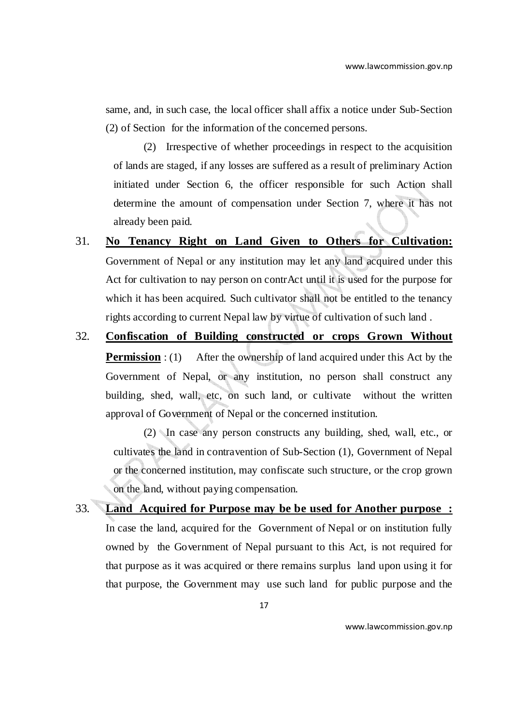same, and, in such case, the local officer shall affix a notice under Sub-Section (2) of Section for the information of the concerned persons.

(2) Irrespective of whether proceedings in respect to the acquisition of lands are staged, if any losses are suffered as a result of preliminary Action initiated under Section 6, the officer responsible for such Action shall determine the amount of compensation under Section 7, where it has not already been paid.

- 31. **No Tenancy Right on Land Given to Others for Cultivation:** Government of Nepal or any institution may let any land acquired under this Act for cultivation to nay person on contrAct until it is used for the purpose for which it has been acquired. Such cultivator shall not be entitled to the tenancy rights according to current Nepal law by virtue of cultivation of such land .
- 32. **Confiscation of Building constructed or crops Grown Without Permission** : (1) After the ownership of land acquired under this Act by the Government of Nepal, or any institution, no person shall construct any building, shed, wall, etc, on such land, or cultivate without the written approval of Government of Nepal or the concerned institution.

(2) In case any person constructs any building, shed, wall, etc., or cultivates the land in contravention of Sub-Section (1), Government of Nepal or the concerned institution, may confiscate such structure, or the crop grown on the land, without paying compensation.

33. **Land Acquired for Purpose may be be used for Another purpose :** In case the land, acquired for the Government of Nepal or on institution fully owned by the Government of Nepal pursuant to this Act, is not required for that purpose as it was acquired or there remains surplus land upon using it for that purpose, the Government may use such land for public purpose and the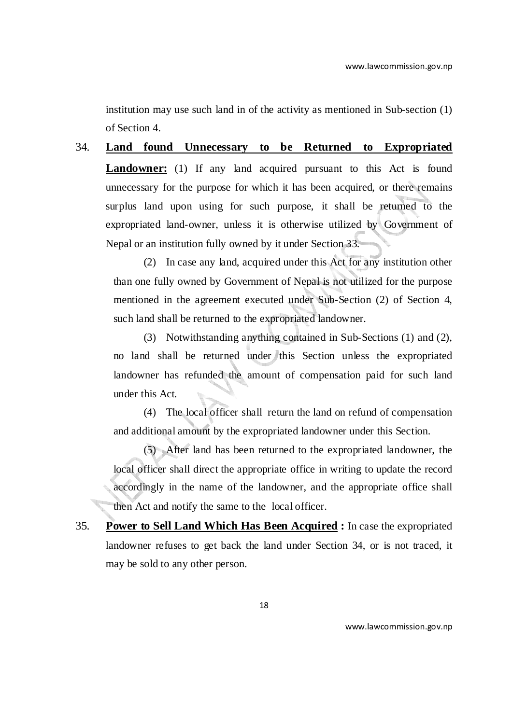institution may use such land in of the activity as mentioned in Sub-section (1) of Section 4.

34. **Land found Unnecessary to be Returned to Expropriated Landowner:** (1) If any land acquired pursuant to this Act is found unnecessary for the purpose for which it has been acquired, or there remains surplus land upon using for such purpose, it shall be returned to the expropriated land-owner, unless it is otherwise utilized by Government of Nepal or an institution fully owned by it under Section 33.

(2) In case any land, acquired under this Act for any institution other than one fully owned by Government of Nepal is not utilized for the purpose mentioned in the agreement executed under Sub-Section (2) of Section 4, such land shall be returned to the expropriated landowner.

(3) Notwithstanding anything contained in Sub-Sections (1) and (2), no land shall be returned under this Section unless the expropriated landowner has refunded the amount of compensation paid for such land under this Act.

(4) The local officer shall return the land on refund of compensation and additional amount by the expropriated landowner under this Section.

(5) After land has been returned to the expropriated landowner, the local officer shall direct the appropriate office in writing to update the record accordingly in the name of the landowner, and the appropriate office shall then Act and notify the same to the local officer.

35. **Power to Sell Land Which Has Been Acquired :** In case the expropriated landowner refuses to get back the land under Section 34, or is not traced, it may be sold to any other person.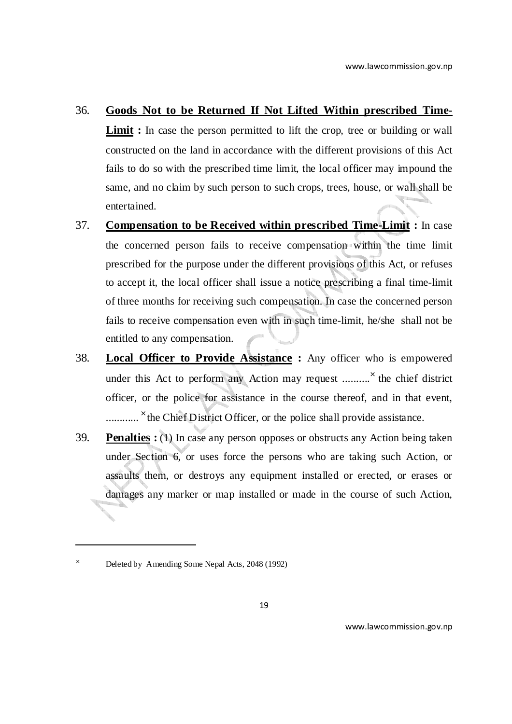#### 36. **Goods Not to be Returned If Not Lifted Within prescribed Time-**

**Limit**: In case the person permitted to lift the crop, tree or building or wall constructed on the land in accordance with the different provisions of this Act fails to do so with the prescribed time limit, the local officer may impound the same, and no claim by such person to such crops, trees, house, or wall shall be entertained.

- 37. **Compensation to be Received within prescribed Time-Limit :** In case the concerned person fails to receive compensation within the time limit prescribed for the purpose under the different provisions of this Act, or refuses to accept it, the local officer shall issue a notice prescribing a final time-limit of three months for receiving such compensation. In case the concerned person fails to receive compensation even with in such time-limit, he/she shall not be entitled to any compensation.
- 38. **Local Officer to Provide Assistance :** Any officer who is empowered under this Act to perform any Action may request ...........<sup> $\times$ </sup> the chief district officer, or the police for assistance in the course thereof, and in that event, .............<sup>×</sup> the Chief District Officer, or the police shall provide assistance.
- 39. **Penalties :** (1) In case any person opposes or obstructs any Action being taken under Section 6, or uses force the persons who are taking such Action, or assaults them, or destroys any equipment installed or erected, or erases or damages any marker or map installed or made in the course of such Action,

 $\overline{a}$ 

<sup>×</sup> Deleted by Amending Some Nepal Acts, 2048 (1992)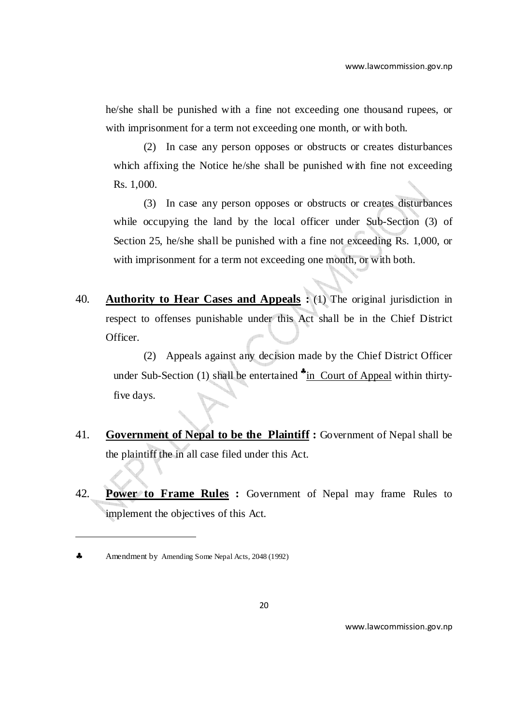he/she shall be punished with a fine not exceeding one thousand rupees, or with imprisonment for a term not exceeding one month, or with both.

(2) In case any person opposes or obstructs or creates disturbances which affixing the Notice he/she shall be punished with fine not exceeding Rs. 1,000.

(3) In case any person opposes or obstructs or creates disturbances while occupying the land by the local officer under Sub-Section (3) of Section 25, he/she shall be punished with a fine not exceeding Rs. 1,000, or with imprisonment for a term not exceeding one month, or with both.

40. **Authority to Hear Cases and Appeals :** (1) The original jurisdiction in respect to offenses punishable under this Act shall be in the Chief District Officer.

(2) Appeals against any decision made by the Chief District Officer under Sub-Section (1) shall be entertained \*in Court of Appeal within thirtyfive days.

- 41. **Government of Nepal to be the Plaintiff :** Government of Nepal shall be the plaintiff the in all case filed under this Act.
- 42. **Power to Frame Rules :** Government of Nepal may frame Rules to implement the objectives of this Act.

 $\overline{a}$ 

<sup>♣</sup> Amendment by Amending Some Nepal Acts, 2048 (1992)